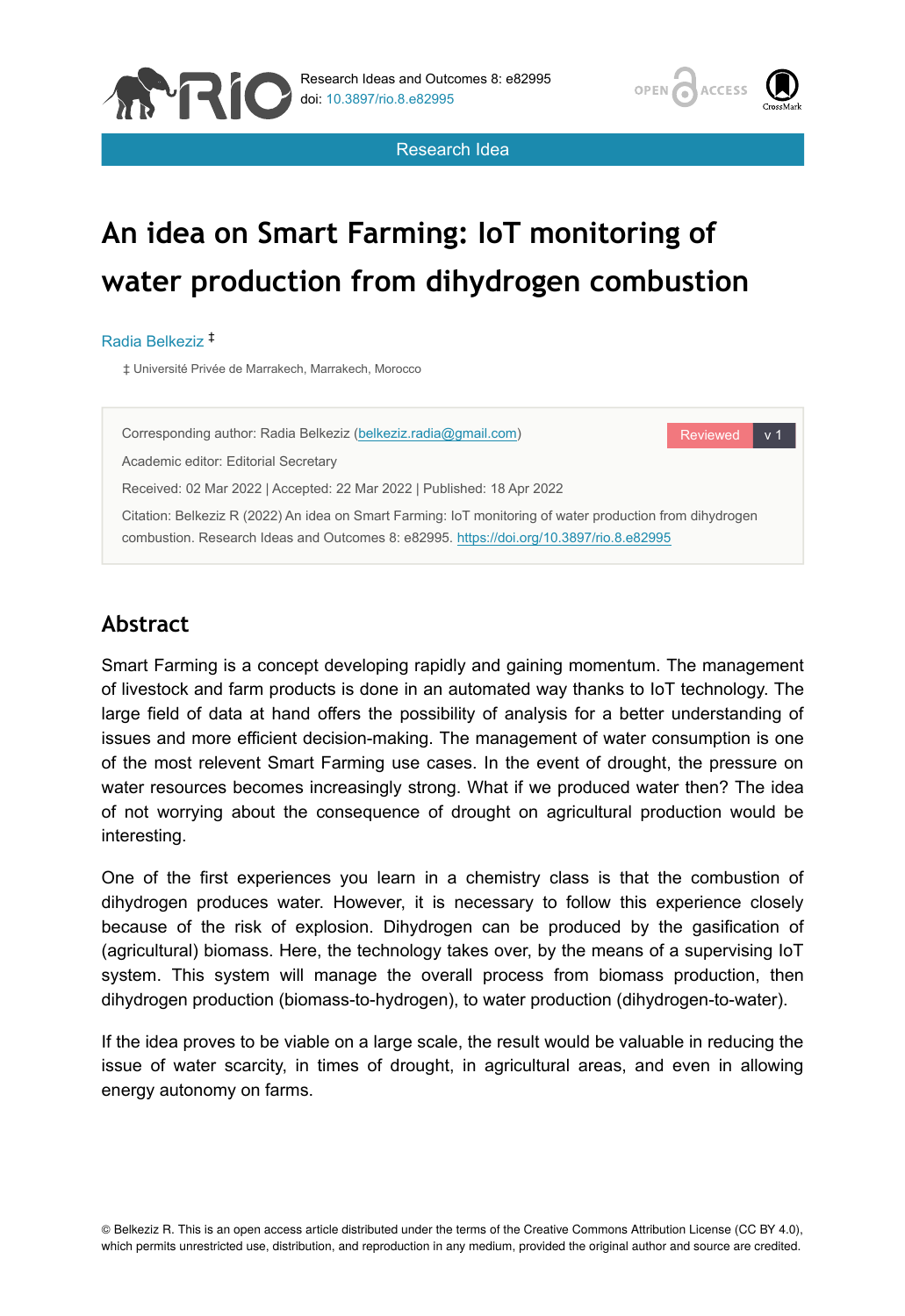



Research Idea

# **An idea on Smart Farming: IoT monitoring of water production from dihydrogen combustion**

#### Radia Belkeziz ‡

‡ Université Privée de Marrakech, Marrakech, Morocco



# **Abstract**

Smart Farming is a concept developing rapidly and gaining momentum. The management of livestock and farm products is done in an automated way thanks to IoT technology. The large field of data at hand offers the possibility of analysis for a better understanding of issues and more efficient decision-making. The management of water consumption is one of the most relevent Smart Farming use cases. In the event of drought, the pressure on water resources becomes increasingly strong. What if we produced water then? The idea of not worrying about the consequence of drought on agricultural production would be interesting.

One of the first experiences you learn in a chemistry class is that the combustion of dihydrogen produces water. However, it is necessary to follow this experience closely because of the risk of explosion. Dihydrogen can be produced by the gasification of (agricultural) biomass. Here, the technology takes over, by the means of a supervising IoT system. This system will manage the overall process from biomass production, then dihydrogen production (biomass-to-hydrogen), to water production (dihydrogen-to-water).

If the idea proves to be viable on a large scale, the result would be valuable in reducing the issue of water scarcity, in times of drought, in agricultural areas, and even in allowing energy autonomy on farms.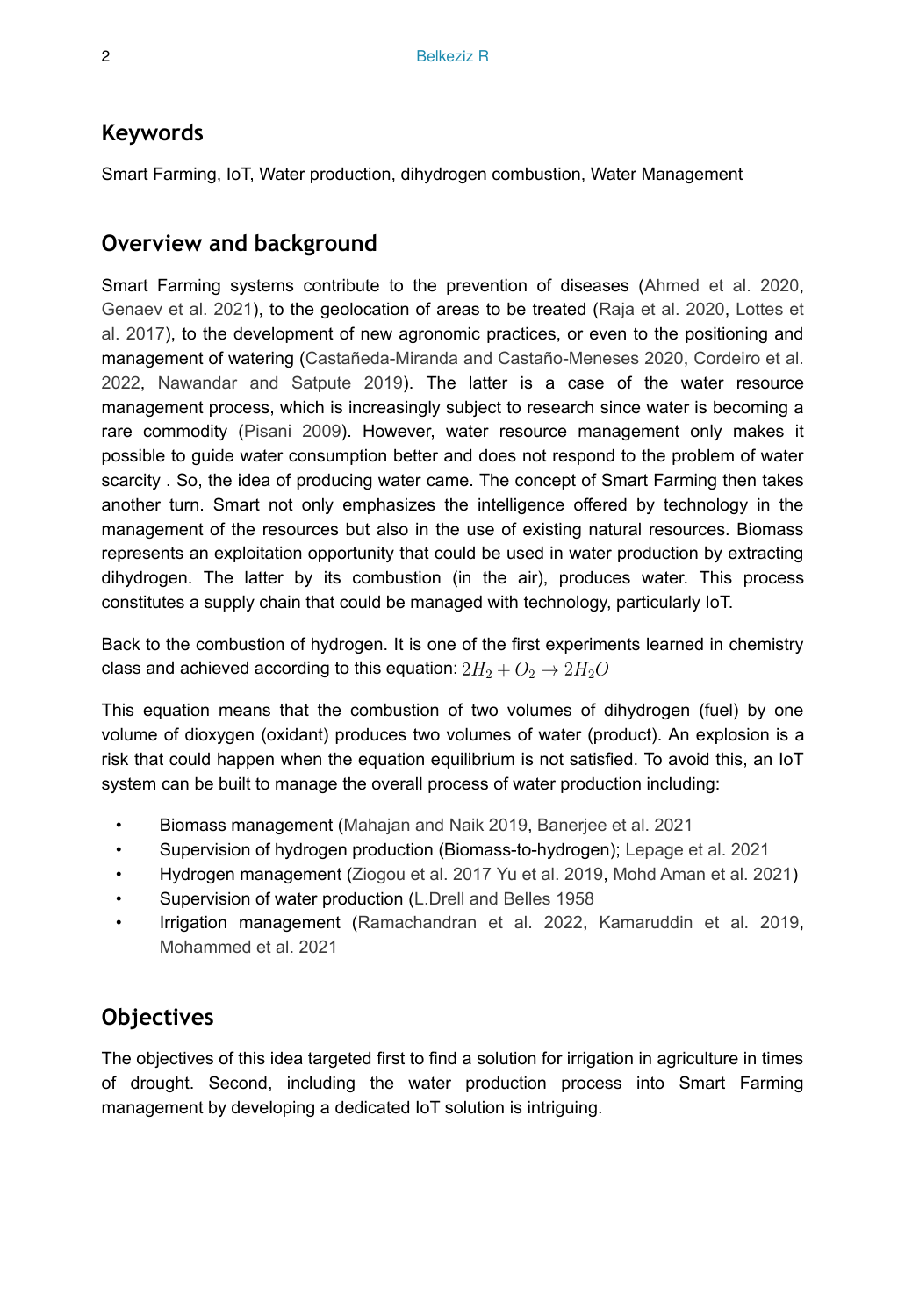## **Keywords**

Smart Farming, IoT, Water production, dihydrogen combustion, Water Management

## **Overview and background**

Smart Farming systems contribute to the prevention of diseases ([Ahmed et al. 2020,](#page-2-0) [Genaev et al. 2021\)](#page-2-1), to the geolocation of areas to be treated [\(Raja et al. 2020](#page-3-0), [Lottes et](#page-3-1) [al. 2017](#page-3-1)), to the development of new agronomic practices, or even to the positioning and management of watering ([Castañeda-Miranda and Castaño-Meneses 2020](#page-2-2), [Cordeiro et al.](#page-2-3) [2022](#page-2-3), [Nawandar and Satpute 2019](#page-3-2)). The latter is a case of the water resource management process, which is increasingly subject to research since water is becoming a rare commodity [\(Pisani 2009](#page-3-3)). However, water resource management only makes it possible to guide water consumption better and does not respond to the problem of water scarcity . So, the idea of producing water came. The concept of Smart Farming then takes another turn. Smart not only emphasizes the intelligence offered by technology in the management of the resources but also in the use of existing natural resources. Biomass represents an exploitation opportunity that could be used in water production by extracting dihydrogen. The latter by its combustion (in the air), produces water. This process constitutes a supply chain that could be managed with technology, particularly IoT.

Back to the combustion of hydrogen. It is one of the first experiments learned in chemistry class and achieved according to this equation:  $2H_2 + O_2 \rightarrow 2H_2O$ 

This equation means that the combustion of two volumes of dihydrogen (fuel) by one volume of dioxygen (oxidant) produces two volumes of water (product). An explosion is a risk that could happen when the equation equilibrium is not satisfied. To avoid this, an IoT system can be built to manage the overall process of water production including:

- Biomass management [\(Mahajan and Naik 2019,](#page-3-4) [Banerjee et al. 2021](#page-2-4)
- Supervision of hydrogen production (Biomass-to-hydrogen); [Lepage et al. 2021](#page-3-5)
- Hydrogen management ([Ziogou et al. 2017](#page-3-6) [Yu et al. 2019,](#page-3-7) [Mohd Aman et al. 2021](#page-3-8))
- Supervision of water production ([L.Drell and Belles 1958](#page-2-5)
- Irrigation management ([Ramachandran et al. 2022](#page-3-9), [Kamaruddin et al. 2019,](#page-2-6) [Mohammed et al. 2021](#page-3-10)

# **Objectives**

The objectives of this idea targeted first to find a solution for irrigation in agriculture in times of drought. Second, including the water production process into Smart Farming management by developing a dedicated IoT solution is intriguing.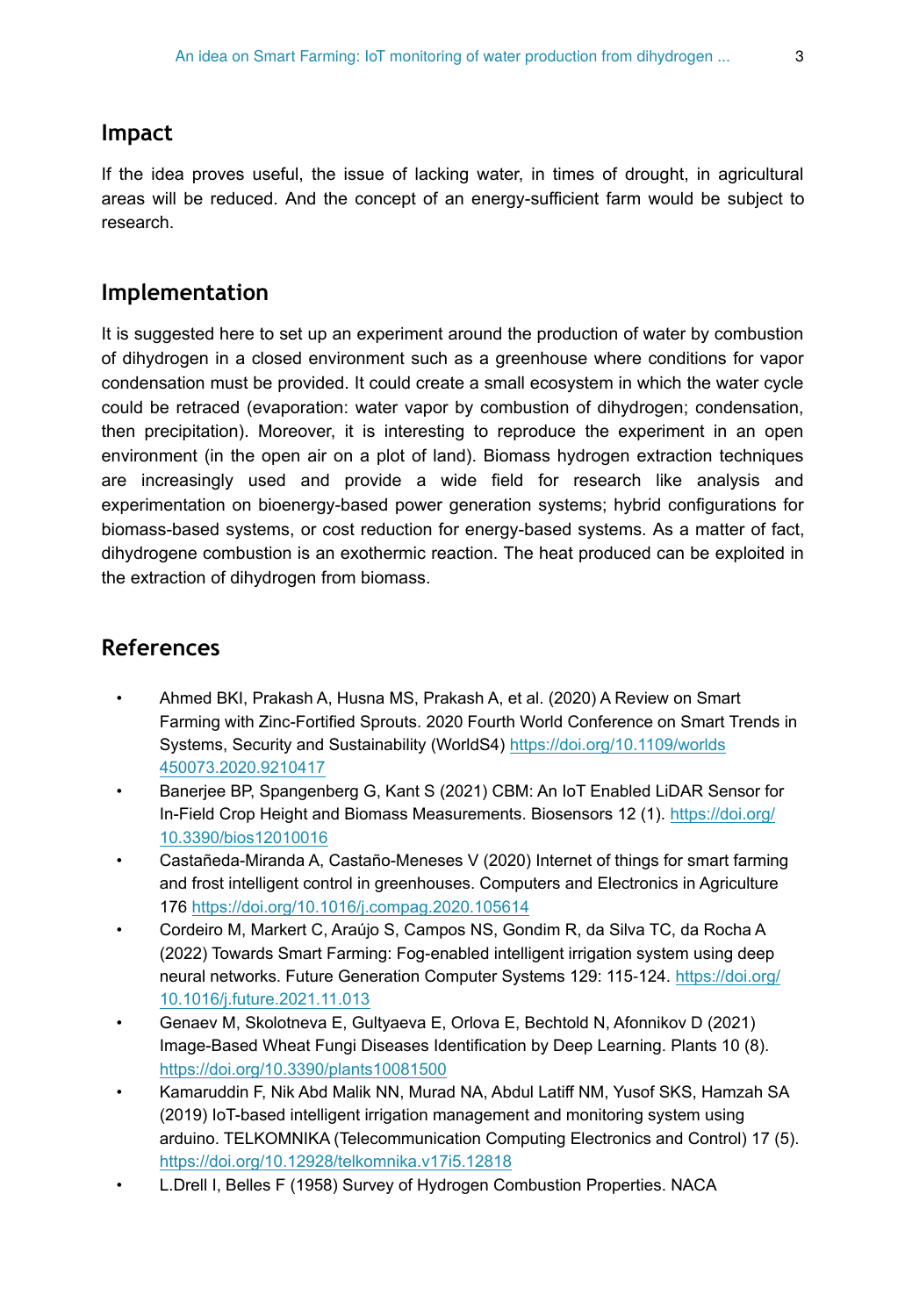#### **Impact**

If the idea proves useful, the issue of lacking water, in times of drought, in agricultural areas will be reduced. And the concept of an energy-sufficient farm would be subject to research.

## **Implementation**

It is suggested here to set up an experiment around the production of water by combustion of dihydrogen in a closed environment such as a greenhouse where conditions for vapor condensation must be provided. It could create a small ecosystem in which the water cycle could be retraced (evaporation: water vapor by combustion of dihydrogen; condensation, then precipitation). Moreover, it is interesting to reproduce the experiment in an open environment (in the open air on a plot of land). Biomass hydrogen extraction techniques are increasingly used and provide a wide field for research like analysis and experimentation on bioenergy-based power generation systems; hybrid configurations for biomass-based systems, or cost reduction for energy-based systems. As a matter of fact, dihydrogene combustion is an exothermic reaction. The heat produced can be exploited in the extraction of dihydrogen from biomass.

# **References**

- <span id="page-2-0"></span>• Ahmed BKI, Prakash A, Husna MS, Prakash A, et al. (2020) A Review on Smart Farming with Zinc-Fortified Sprouts. 2020 Fourth World Conference on Smart Trends in Systems, Security and Sustainability (WorldS4) [https://doi.org/10.1109/worlds](https://doi.org/10.1109/worlds450073.2020.9210417) [450073.2020.9210417](https://doi.org/10.1109/worlds450073.2020.9210417)
- <span id="page-2-4"></span>• Banerjee BP, Spangenberg G, Kant S (2021) CBM: An IoT Enabled LiDAR Sensor for In-Field Crop Height and Biomass Measurements. Biosensors 12 (1). [https://doi.org/](https://doi.org/10.3390/bios12010016) [10.3390/bios12010016](https://doi.org/10.3390/bios12010016)
- <span id="page-2-2"></span>• Castañeda-Miranda A, Castaño-Meneses V (2020) Internet of things for smart farming and frost intelligent control in greenhouses. Computers and Electronics in Agriculture 176<https://doi.org/10.1016/j.compag.2020.105614>
- <span id="page-2-3"></span>• Cordeiro M, Markert C, Araújo S, Campos NS, Gondim R, da Silva TC, da Rocha A (2022) Towards Smart Farming: Fog-enabled intelligent irrigation system using deep neural networks. Future Generation Computer Systems 129: 115-124. [https://doi.org/](https://doi.org/10.1016/j.future.2021.11.013) [10.1016/j.future.2021.11.013](https://doi.org/10.1016/j.future.2021.11.013)
- <span id="page-2-1"></span>• Genaev M, Skolotneva E, Gultyaeva E, Orlova E, Bechtold N, Afonnikov D (2021) Image-Based Wheat Fungi Diseases Identification by Deep Learning. Plants 10 (8). <https://doi.org/10.3390/plants10081500>
- <span id="page-2-6"></span>• Kamaruddin F, Nik Abd Malik NN, Murad NA, Abdul Latiff NM, Yusof SKS, Hamzah SA (2019) IoT-based intelligent irrigation management and monitoring system using arduino. TELKOMNIKA (Telecommunication Computing Electronics and Control) 17 (5). <https://doi.org/10.12928/telkomnika.v17i5.12818>
- <span id="page-2-5"></span>• L.Drell I, Belles F (1958) Survey of Hydrogen Combustion Properties. NACA